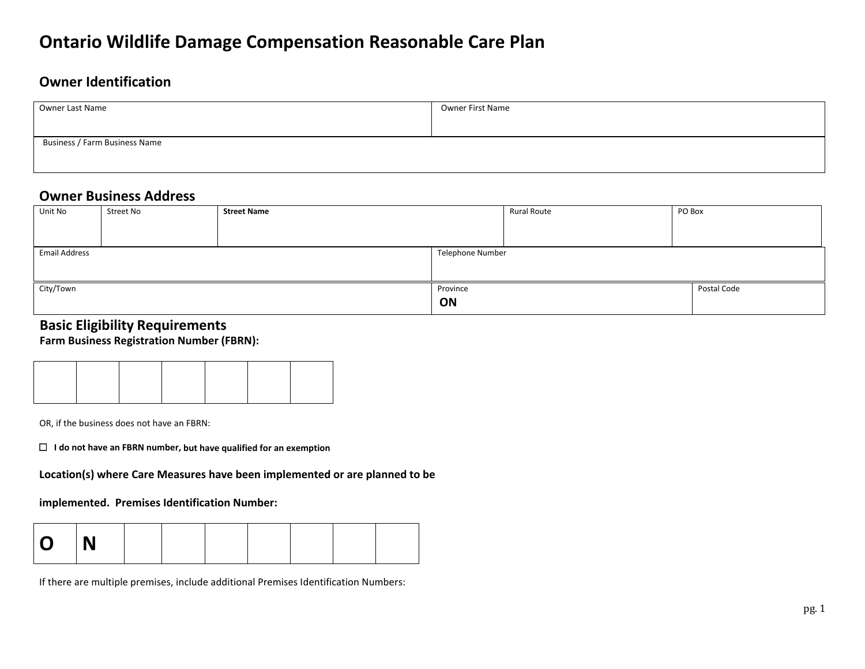# **Ontario Wildlife Damage Compensation Reasonable Care Plan<br><sub>Owner Identification**</sub>

| Owner Last Name               | Owner First Name |
|-------------------------------|------------------|
|                               |                  |
| Business / Farm Business Name |                  |
|                               |                  |

### **Owner Business Address**

| Unit No              | Street No | <b>Street Name</b> |                  | <b>Rural Route</b> | PO Box |  |
|----------------------|-----------|--------------------|------------------|--------------------|--------|--|
|                      |           |                    |                  |                    |        |  |
|                      |           |                    |                  |                    |        |  |
| <b>Email Address</b> |           |                    | Telephone Number |                    |        |  |
|                      |           |                    |                  |                    |        |  |
| City/Town            |           | Province           |                  | Postal Code        |        |  |
|                      |           |                    | ON               |                    |        |  |

#### **Basic Eligibility Requirements**

 **Farm Business Registration Number (FBRN):**



OR, if the business does not have an FBRN:

I do not have an FBRN number, but have qualified for an exemption

□ I do not have an FBRN number, but have qualified for an exemption<br>Location(s) where Care Measures have been implemented or are planned to be

 **implemented. Premises Identification Number:** 

| <b>O</b> | $\blacksquare$ |  |  |  |  |
|----------|----------------|--|--|--|--|
|          |                |  |  |  |  |

If there are multiple premises, include additional Premises Identification Numbers: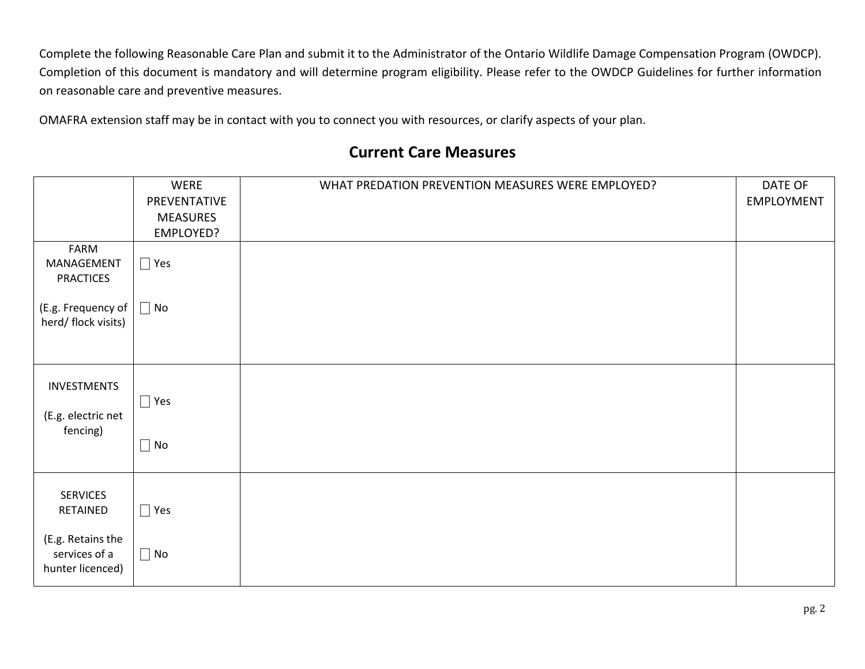Complete the following Reasonable Care Plan and submit it to the Administrator of the Ontario Wildlife Damage Compensation Program (OWDCP). Completion of this document is mandatory and will determine program eligibility. Please refer to the OWDCP Guidelines for further information on reasonable care and preventive measures.

OMAFRA extension staff may be in contact with you to connect you with resources, or clarify aspects of your plan.

## **Current Care Measures**

|                                                                                       | WERE<br>PREVENTATIVE<br><b>MEASURES</b><br>EMPLOYED? | WHAT PREDATION PREVENTION MEASURES WERE EMPLOYED? | DATE OF<br>EMPLOYMENT |
|---------------------------------------------------------------------------------------|------------------------------------------------------|---------------------------------------------------|-----------------------|
| FARM<br>MANAGEMENT<br><b>PRACTICES</b>                                                | $\Box$ Yes                                           |                                                   |                       |
| (E.g. Frequency of<br>herd/ flock visits)                                             | $\Box$ No                                            |                                                   |                       |
| INVESTMENTS<br>(E.g. electric net<br>fencing)                                         | $\Box$ Yes<br>$\Box$ No                              |                                                   |                       |
| <b>SERVICES</b><br>RETAINED<br>(E.g. Retains the<br>services of a<br>hunter licenced) | $\Box$ Yes<br>$\Box$ No                              |                                                   |                       |